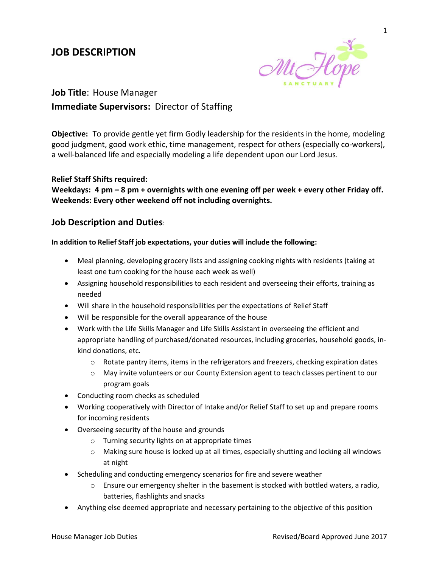# **JOB DESCRIPTION**



**Job Title**: House Manager **Immediate Supervisors:** Director of Staffing

**Objective:** To provide gentle yet firm Godly leadership for the residents in the home, modeling good judgment, good work ethic, time management, respect for others (especially co-workers), a well-balanced life and especially modeling a life dependent upon our Lord Jesus.

## **Relief Staff Shifts required:**

**Weekdays: 4 pm – 8 pm + overnights with one evening off per week + every other Friday off. Weekends: Every other weekend off not including overnights.**

# **Job Description and Duties**:

### **In addition to Relief Staff job expectations, your duties will include the following:**

- Meal planning, developing grocery lists and assigning cooking nights with residents (taking at least one turn cooking for the house each week as well)
- Assigning household responsibilities to each resident and overseeing their efforts, training as needed
- Will share in the household responsibilities per the expectations of Relief Staff
- Will be responsible for the overall appearance of the house
- Work with the Life Skills Manager and Life Skills Assistant in overseeing the efficient and appropriate handling of purchased/donated resources, including groceries, household goods, inkind donations, etc.
	- $\circ$  Rotate pantry items, items in the refrigerators and freezers, checking expiration dates
	- o May invite volunteers or our County Extension agent to teach classes pertinent to our program goals
- Conducting room checks as scheduled
- Working cooperatively with Director of Intake and/or Relief Staff to set up and prepare rooms for incoming residents
- Overseeing security of the house and grounds
	- o Turning security lights on at appropriate times
	- o Making sure house is locked up at all times, especially shutting and locking all windows at night
- Scheduling and conducting emergency scenarios for fire and severe weather
	- $\circ$  Ensure our emergency shelter in the basement is stocked with bottled waters, a radio, batteries, flashlights and snacks
- Anything else deemed appropriate and necessary pertaining to the objective of this position